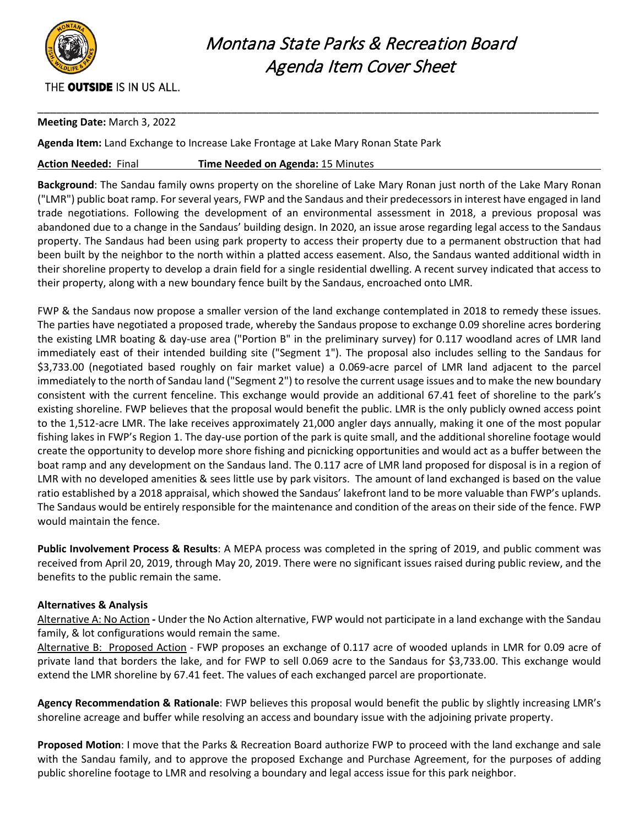

# Montana State Parks & Recreation Board Agenda Item Cover Sheet

### THE OUTSIDE IS IN US ALL.

#### **Meeting Date:** March 3, 2022

**Agenda Item:** Land Exchange to Increase Lake Frontage at Lake Mary Ronan State Park

#### **Action Needed:** Final **Time Needed on Agenda:** 15 Minutes

**Background**: The Sandau family owns property on the shoreline of Lake Mary Ronan just north of the Lake Mary Ronan ("LMR") public boat ramp. For several years, FWP and the Sandaus and their predecessors in interest have engaged in land trade negotiations. Following the development of an environmental assessment in 2018, a previous proposal was abandoned due to a change in the Sandaus' building design. In 2020, an issue arose regarding legal access to the Sandaus property. The Sandaus had been using park property to access their property due to a permanent obstruction that had been built by the neighbor to the north within a platted access easement. Also, the Sandaus wanted additional width in their shoreline property to develop a drain field for a single residential dwelling. A recent survey indicated that access to their property, along with a new boundary fence built by the Sandaus, encroached onto LMR.

\_\_\_\_\_\_\_\_\_\_\_\_\_\_\_\_\_\_\_\_\_\_\_\_\_\_\_\_\_\_\_\_\_\_\_\_\_\_\_\_\_\_\_\_\_\_\_\_\_\_\_\_\_\_\_\_\_\_\_\_\_\_\_\_\_\_\_\_\_\_\_\_\_\_\_\_\_\_\_\_\_\_\_\_\_\_\_\_\_\_

FWP & the Sandaus now propose a smaller version of the land exchange contemplated in 2018 to remedy these issues. The parties have negotiated a proposed trade, whereby the Sandaus propose to exchange 0.09 shoreline acres bordering the existing LMR boating & day-use area ("Portion B" in the preliminary survey) for 0.117 woodland acres of LMR land immediately east of their intended building site ("Segment 1"). The proposal also includes selling to the Sandaus for \$3,733.00 (negotiated based roughly on fair market value) a 0.069-acre parcel of LMR land adjacent to the parcel immediately to the north of Sandau land ("Segment 2") to resolve the current usage issues and to make the new boundary consistent with the current fenceline. This exchange would provide an additional 67.41 feet of shoreline to the park's existing shoreline. FWP believes that the proposal would benefit the public. LMR is the only publicly owned access point to the 1,512-acre LMR. The lake receives approximately 21,000 angler days annually, making it one of the most popular fishing lakes in FWP's Region 1. The day-use portion of the park is quite small, and the additional shoreline footage would create the opportunity to develop more shore fishing and picnicking opportunities and would act as a buffer between the boat ramp and any development on the Sandaus land. The 0.117 acre of LMR land proposed for disposal is in a region of LMR with no developed amenities & sees little use by park visitors. The amount of land exchanged is based on the value ratio established by a 2018 appraisal, which showed the Sandaus' lakefront land to be more valuable than FWP's uplands. The Sandaus would be entirely responsible for the maintenance and condition of the areas on their side of the fence. FWP would maintain the fence.

**Public Involvement Process & Results**: A MEPA process was completed in the spring of 2019, and public comment was received from April 20, 2019, through May 20, 2019. There were no significant issues raised during public review, and the benefits to the public remain the same.

#### **Alternatives & Analysis**

Alternative A: No Action **-** Under the No Action alternative, FWP would not participate in a land exchange with the Sandau family, & lot configurations would remain the same.

Alternative B: Proposed Action - FWP proposes an exchange of 0.117 acre of wooded uplands in LMR for 0.09 acre of private land that borders the lake, and for FWP to sell 0.069 acre to the Sandaus for \$3,733.00. This exchange would extend the LMR shoreline by 67.41 feet. The values of each exchanged parcel are proportionate.

**Agency Recommendation & Rationale**: FWP believes this proposal would benefit the public by slightly increasing LMR's shoreline acreage and buffer while resolving an access and boundary issue with the adjoining private property.

**Proposed Motion**: I move that the Parks & Recreation Board authorize FWP to proceed with the land exchange and sale with the Sandau family, and to approve the proposed Exchange and Purchase Agreement, for the purposes of adding public shoreline footage to LMR and resolving a boundary and legal access issue for this park neighbor.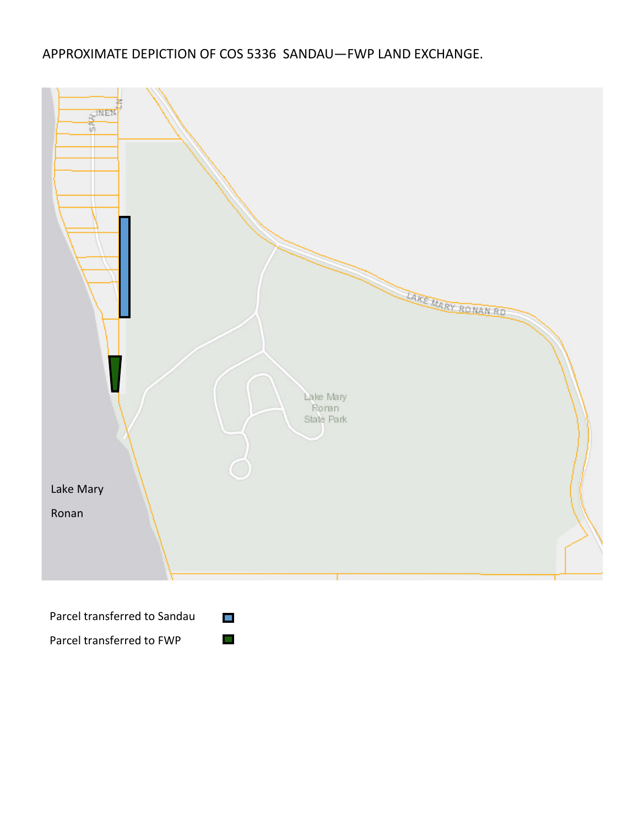## APPROXIMATE DEPICTION OF COS 5336 SANDAU—FWP LAND EXCHANGE.



Parcel transferred to FWP